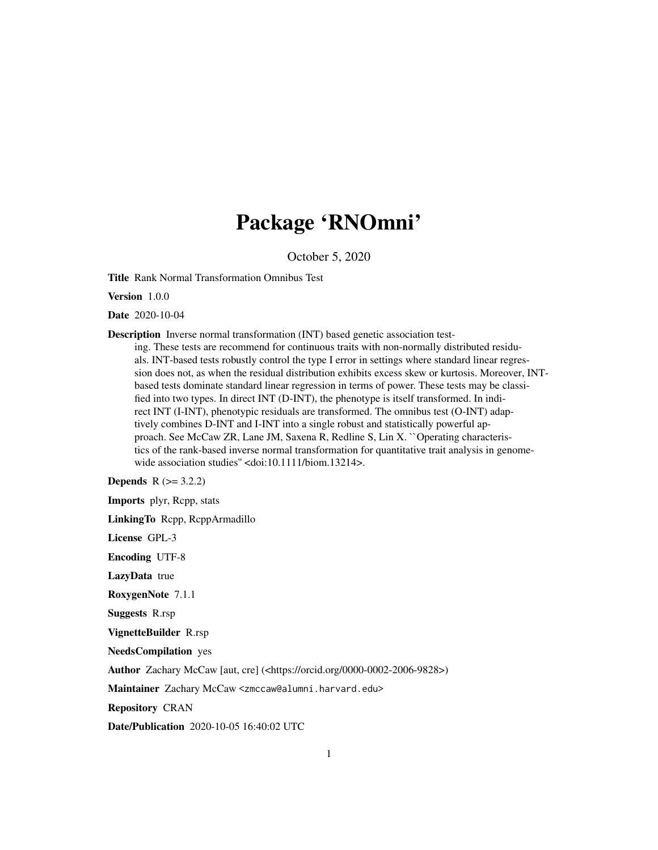# Package 'RNOmni'

October 5, 2020

Title Rank Normal Transformation Omnibus Test

Version 1.0.0

Date 2020-10-04

Description Inverse normal transformation (INT) based genetic association test-

ing. These tests are recommend for continuous traits with non-normally distributed residuals. INT-based tests robustly control the type I error in settings where standard linear regression does not, as when the residual distribution exhibits excess skew or kurtosis. Moreover, INTbased tests dominate standard linear regression in terms of power. These tests may be classified into two types. In direct INT (D-INT), the phenotype is itself transformed. In indirect INT (I-INT), phenotypic residuals are transformed. The omnibus test (O-INT) adaptively combines D-INT and I-INT into a single robust and statistically powerful approach. See McCaw ZR, Lane JM, Saxena R, Redline S, Lin X. ``Operating characteristics of the rank-based inverse normal transformation for quantitative trait analysis in genomewide association studies" <doi:10.1111/biom.13214>.

**Depends**  $R$  ( $>= 3.2.2$ )

Imports plyr, Rcpp, stats

LinkingTo Rcpp, RcppArmadillo

License GPL-3

Encoding UTF-8

LazyData true

RoxygenNote 7.1.1

Suggests R.rsp

VignetteBuilder R.rsp

NeedsCompilation yes

Author Zachary McCaw [aut, cre] (<https://orcid.org/0000-0002-2006-9828>)

Maintainer Zachary McCaw <zmccaw@alumni.harvard.edu>

Repository CRAN

Date/Publication 2020-10-05 16:40:02 UTC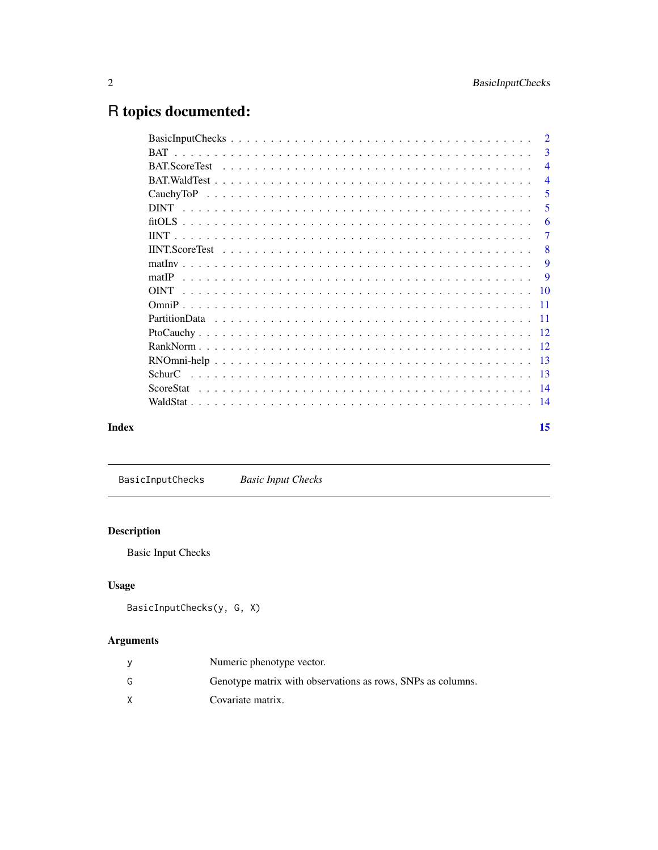# <span id="page-1-0"></span>R topics documented:

|       | 3                         |
|-------|---------------------------|
|       | $\overline{4}$            |
|       | $\overline{4}$            |
|       | 5                         |
|       | 5                         |
|       | 6                         |
|       | -7                        |
|       | $\overline{\phantom{0}}8$ |
|       | 9                         |
|       | $\mathbf{Q}$              |
|       |                           |
|       |                           |
|       |                           |
|       |                           |
|       |                           |
|       |                           |
|       |                           |
|       |                           |
|       |                           |
| Index | 15                        |

BasicInputChecks *Basic Input Checks*

# Description

Basic Input Checks

# Usage

```
BasicInputChecks(y, G, X)
```
# Arguments

|   | Numeric phenotype vector.                                   |
|---|-------------------------------------------------------------|
| G | Genotype matrix with observations as rows, SNPs as columns. |
| X | Covariate matrix.                                           |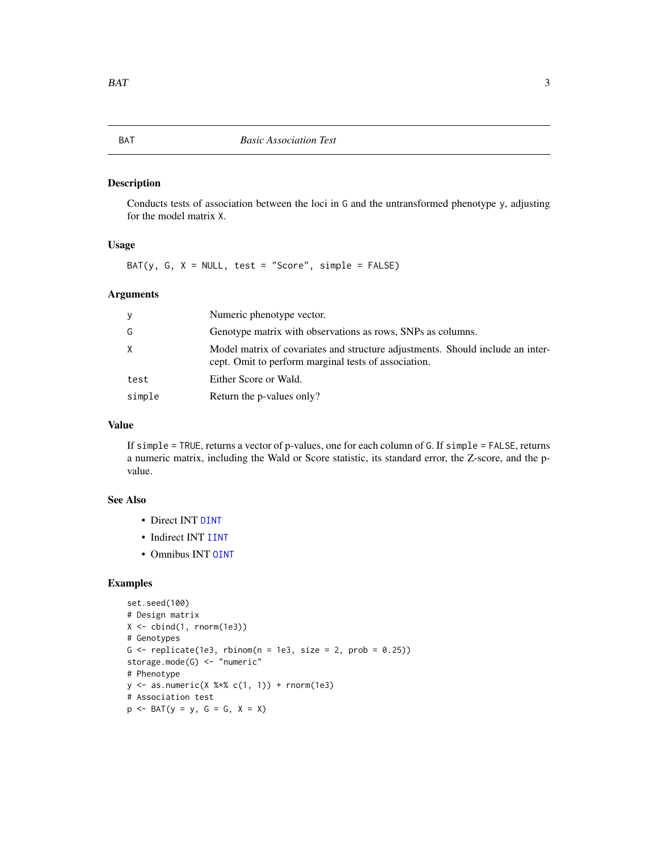<span id="page-2-1"></span><span id="page-2-0"></span>Conducts tests of association between the loci in G and the untransformed phenotype y, adjusting for the model matrix X.

#### Usage

BAT(y, G,  $X = NULL$ , test = "Score", simple = FALSE)

# Arguments

| y      | Numeric phenotype vector.                                                                                                              |
|--------|----------------------------------------------------------------------------------------------------------------------------------------|
| G      | Genotype matrix with observations as rows, SNPs as columns.                                                                            |
| X      | Model matrix of covariates and structure adjustments. Should include an inter-<br>cept. Omit to perform marginal tests of association. |
| test   | Either Score or Wald.                                                                                                                  |
| simple | Return the p-values only?                                                                                                              |

#### Value

If simple = TRUE, returns a vector of p-values, one for each column of G. If simple = FALSE, returns a numeric matrix, including the Wald or Score statistic, its standard error, the Z-score, and the pvalue.

# See Also

- Direct INT [DINT](#page-4-1)
- Indirect INT [IINT](#page-6-1)
- Omnibus INT [OINT](#page-9-1)

#### Examples

```
set.seed(100)
# Design matrix
X \leftarrow \text{cbind}(1, \text{norm}(1e3))# Genotypes
G \le - replicate(1e3, rbinom(n = 1e3, size = 2, prob = 0.25))
storage.mode(G) <- "numeric"
# Phenotype
y \le - as.numeric(X %*% c(1, 1)) + rnorm(1e3)
# Association test
p \leftarrow \text{BAT}(y = y, G = G, X = X)
```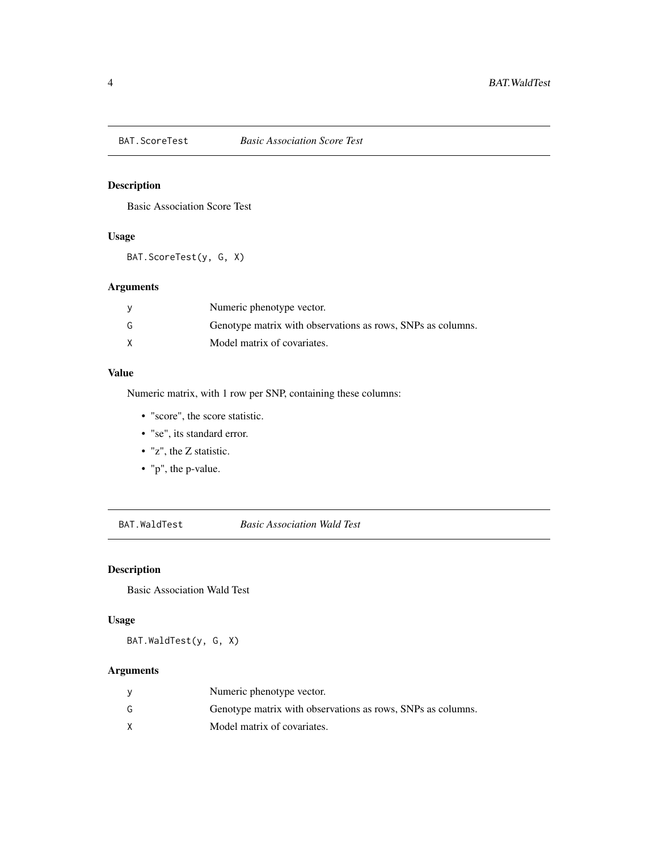<span id="page-3-0"></span>

Basic Association Score Test

# Usage

BAT.ScoreTest(y, G, X)

# Arguments

|   | Numeric phenotype vector.                                   |
|---|-------------------------------------------------------------|
| G | Genotype matrix with observations as rows, SNPs as columns. |
|   | Model matrix of covariates.                                 |

# Value

Numeric matrix, with 1 row per SNP, containing these columns:

- "score", the score statistic.
- "se", its standard error.
- "z", the Z statistic.
- "p", the p-value.

BAT.WaldTest *Basic Association Wald Test*

# Description

Basic Association Wald Test

# Usage

BAT.WaldTest(y, G, X)

# Arguments

|    | Numeric phenotype vector.                                   |
|----|-------------------------------------------------------------|
| G. | Genotype matrix with observations as rows, SNPs as columns. |
|    | Model matrix of covariates.                                 |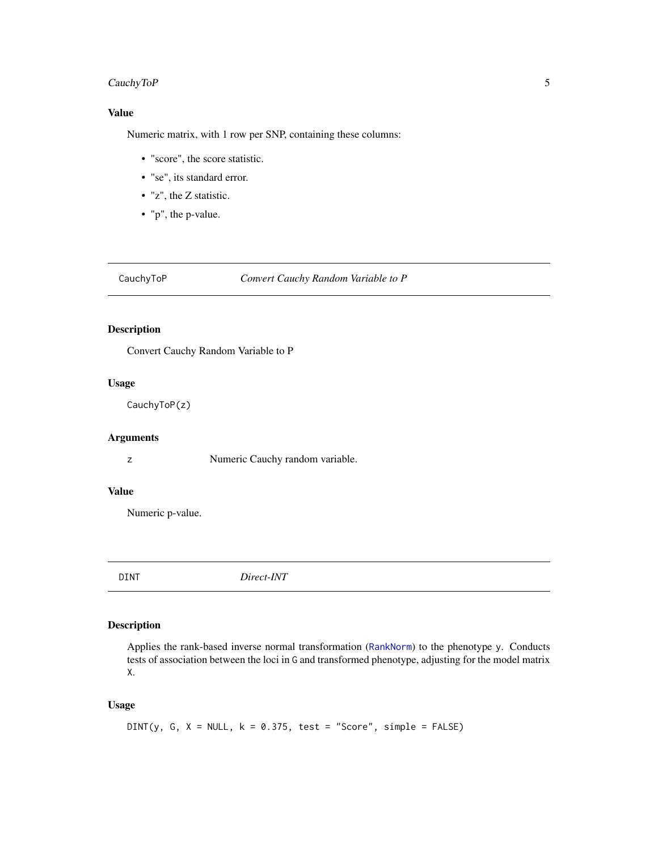# <span id="page-4-0"></span>CauchyToP 5

# Value

Numeric matrix, with 1 row per SNP, containing these columns:

- "score", the score statistic.
- "se", its standard error.
- "z", the Z statistic.
- "p", the p-value.

#### CauchyToP *Convert Cauchy Random Variable to P*

# Description

Convert Cauchy Random Variable to P

# Usage

CauchyToP(z)

#### Arguments

z Numeric Cauchy random variable.

# Value

Numeric p-value.

<span id="page-4-1"></span>DINT *Direct-INT*

# Description

Applies the rank-based inverse normal transformation ([RankNorm](#page-11-1)) to the phenotype y. Conducts tests of association between the loci in G and transformed phenotype, adjusting for the model matrix X.

#### Usage

DINT(y, G,  $X = NULL$ ,  $k = 0.375$ , test = "Score", simple = FALSE)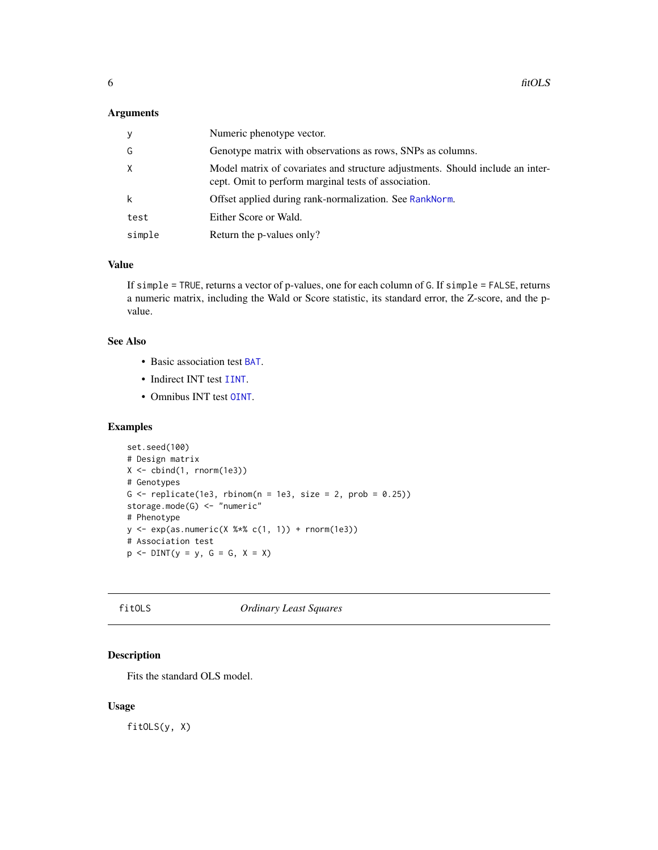#### <span id="page-5-0"></span>Arguments

| У      | Numeric phenotype vector.                                                                                                              |
|--------|----------------------------------------------------------------------------------------------------------------------------------------|
| G      | Genotype matrix with observations as rows, SNPs as columns.                                                                            |
| X      | Model matrix of covariates and structure adjustments. Should include an inter-<br>cept. Omit to perform marginal tests of association. |
| k      | Offset applied during rank-normalization. See RankNorm.                                                                                |
| test   | Either Score or Wald.                                                                                                                  |
| simple | Return the p-values only?                                                                                                              |

#### Value

If simple = TRUE, returns a vector of p-values, one for each column of G. If simple = FALSE, returns a numeric matrix, including the Wald or Score statistic, its standard error, the Z-score, and the pvalue.

#### See Also

- Basic association test [BAT](#page-2-1).
- Indirect INT test [IINT](#page-6-1).
- Omnibus INT test [OINT](#page-9-1).

#### Examples

```
set.seed(100)
# Design matrix
X \leftarrow \text{cbind}(1, \text{norm}(1e3))# Genotypes
G \le replicate(1e3, rbinom(n = 1e3, size = 2, prob = 0.25))
storage.mode(G) <- "numeric"
# Phenotype
y <- exp(as.numeric(X %*% c(1, 1)) + rnorm(1e3))
# Association test
p \le - DINT(y = y, G = G, X = X)
```
fitOLS *Ordinary Least Squares*

# Description

Fits the standard OLS model.

#### Usage

fitOLS(y, X)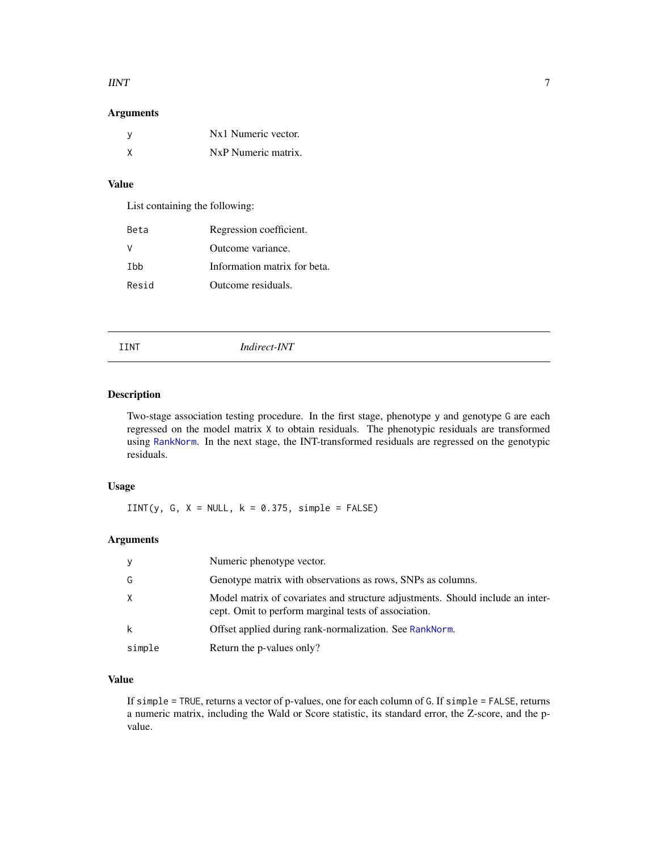#### <span id="page-6-0"></span> $IINT$  7

# Arguments

| Nx1 Numeric vector. |
|---------------------|
| NxP Numeric matrix. |

# Value

List containing the following:

| Beta  | Regression coefficient.      |
|-------|------------------------------|
|       | Outcome variance.            |
| Thh   | Information matrix for beta. |
| Resid | Outcome residuals.           |

#### <span id="page-6-1"></span>IINT *Indirect-INT*

# Description

Two-stage association testing procedure. In the first stage, phenotype y and genotype G are each regressed on the model matrix X to obtain residuals. The phenotypic residuals are transformed using [RankNorm](#page-11-1). In the next stage, the INT-transformed residuals are regressed on the genotypic residuals.

#### Usage

 $IINT(y, G, X = NULL, k = 0.375, simple = FALSE)$ 

#### Arguments

| y        | Numeric phenotype vector.                                                                                                              |
|----------|----------------------------------------------------------------------------------------------------------------------------------------|
| G        | Genotype matrix with observations as rows, SNPs as columns.                                                                            |
| $\times$ | Model matrix of covariates and structure adjustments. Should include an inter-<br>cept. Omit to perform marginal tests of association. |
| k        | Offset applied during rank-normalization. See RankNorm.                                                                                |
| simple   | Return the p-values only?                                                                                                              |

# Value

If simple = TRUE, returns a vector of p-values, one for each column of G. If simple = FALSE, returns a numeric matrix, including the Wald or Score statistic, its standard error, the Z-score, and the pvalue.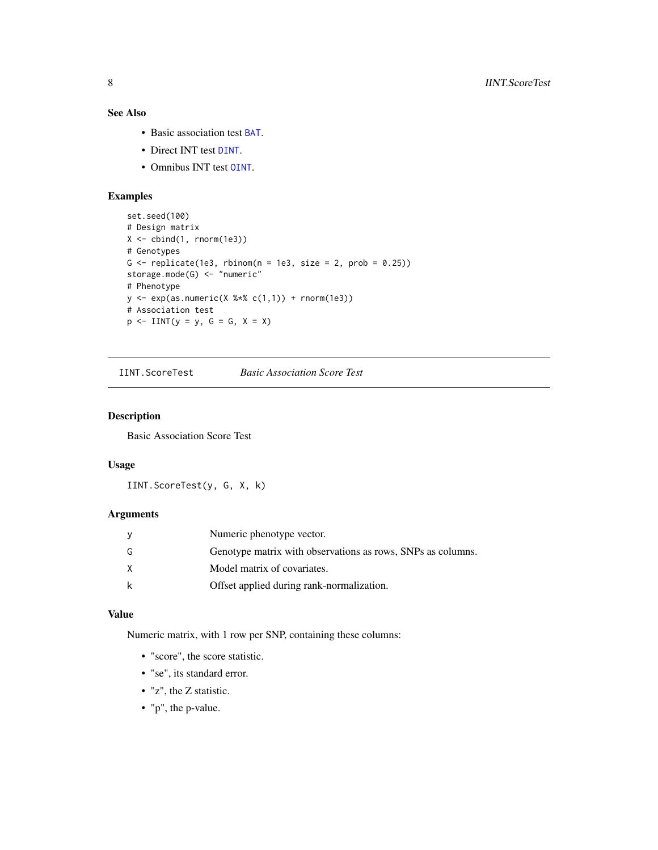# <span id="page-7-0"></span>See Also

- Basic association test [BAT](#page-2-1).
- Direct INT test [DINT](#page-4-1).
- Omnibus INT test [OINT](#page-9-1).

# Examples

```
set.seed(100)
# Design matrix
X <- cbind(1, rnorm(1e3))
# Genotypes
G \leftarrow \text{replicate}(1e3, \text{rbinom}(n = 1e3, \text{ size} = 2, \text{ prob} = 0.25))storage.mode(G) <- "numeric"
# Phenotype
y \leq -exp(as.numeric(X %*% c(1,1)) + rnorm(1e3))# Association test
p \leq IINT(y = y, G = G, X = X)
```
IINT.ScoreTest *Basic Association Score Test*

#### Description

Basic Association Score Test

# Usage

IINT.ScoreTest(y, G, X, k)

# Arguments

|   | Numeric phenotype vector.                                   |
|---|-------------------------------------------------------------|
| G | Genotype matrix with observations as rows, SNPs as columns. |
| X | Model matrix of covariates.                                 |
| k | Offset applied during rank-normalization.                   |

#### Value

Numeric matrix, with 1 row per SNP, containing these columns:

- "score", the score statistic.
- "se", its standard error.
- "z", the Z statistic.
- "p", the p-value.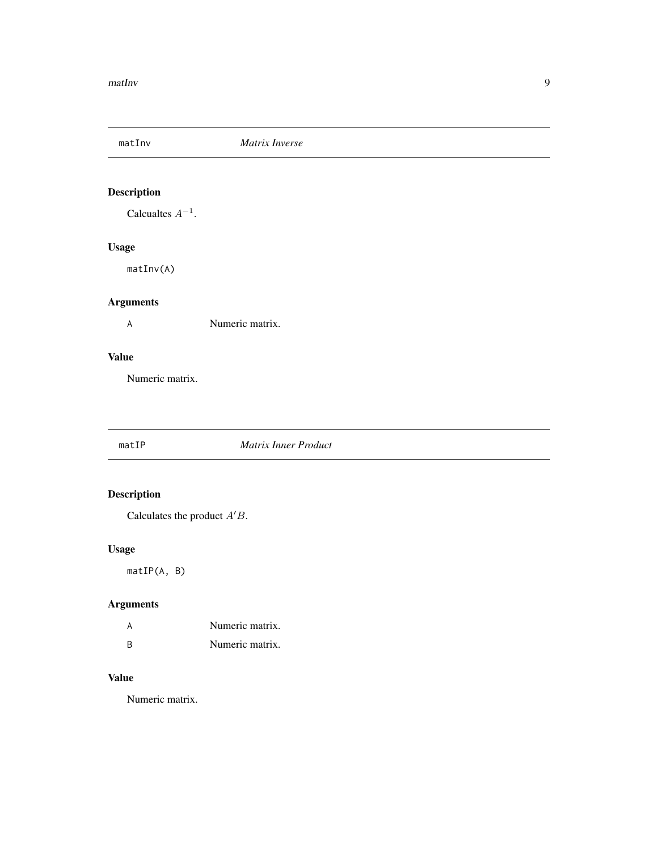<span id="page-8-0"></span>

Calcualtes  $A^{-1}$ .

# Usage

matInv(A)

# Arguments

A Numeric matrix.

# Value

Numeric matrix.

#### matIP *Matrix Inner Product*

# Description

Calculates the product  $A'B$ .

# Usage

matIP(A, B)

# Arguments

|   | Numeric matrix. |
|---|-----------------|
| R | Numeric matrix. |

# Value

Numeric matrix.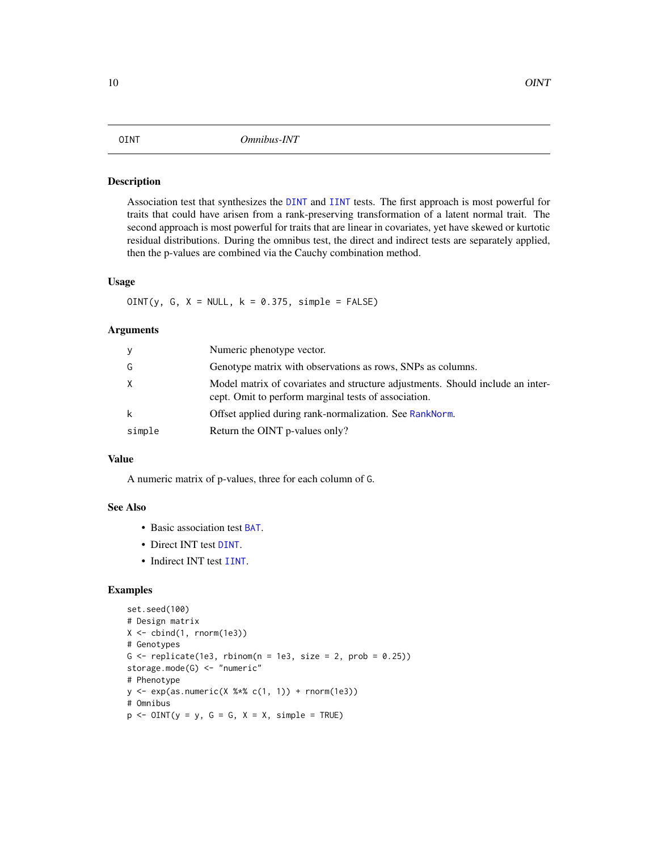<span id="page-9-1"></span><span id="page-9-0"></span>Association test that synthesizes the [DINT](#page-4-1) and [IINT](#page-6-1) tests. The first approach is most powerful for traits that could have arisen from a rank-preserving transformation of a latent normal trait. The second approach is most powerful for traits that are linear in covariates, yet have skewed or kurtotic residual distributions. During the omnibus test, the direct and indirect tests are separately applied, then the p-values are combined via the Cauchy combination method.

### Usage

 $OINT(y, G, X = NULL, k = 0.375, simple = FALSE)$ 

#### Arguments

| y      | Numeric phenotype vector.                                                                                                              |
|--------|----------------------------------------------------------------------------------------------------------------------------------------|
| G      | Genotype matrix with observations as rows, SNPs as columns.                                                                            |
| X      | Model matrix of covariates and structure adjustments. Should include an inter-<br>cept. Omit to perform marginal tests of association. |
| k      | Offset applied during rank-normalization. See RankNorm.                                                                                |
| simple | Return the OINT p-values only?                                                                                                         |

#### Value

A numeric matrix of p-values, three for each column of G.

### See Also

- Basic association test [BAT](#page-2-1).
- Direct INT test [DINT](#page-4-1).
- Indirect INT test [IINT](#page-6-1).

# Examples

```
set.seed(100)
# Design matrix
X \leftarrow \text{cbind}(1, \text{norm}(1e3))# Genotypes
G \le replicate(1e3, rbinom(n = 1e3, size = 2, prob = 0.25))
storage.mode(G) <- "numeric"
# Phenotype
y \leq -exp(as.numeric(X % * % c(1, 1)) + rnorm(1e3))# Omnibus
p \le - OINT(y = y, G = G, X = X, simple = TRUE)
```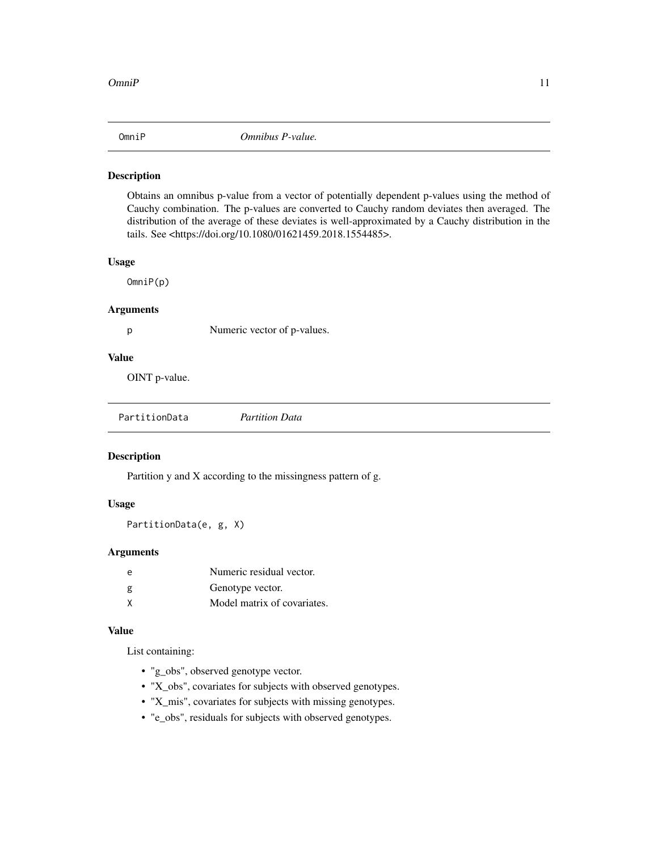<span id="page-10-0"></span>

Obtains an omnibus p-value from a vector of potentially dependent p-values using the method of Cauchy combination. The p-values are converted to Cauchy random deviates then averaged. The distribution of the average of these deviates is well-approximated by a Cauchy distribution in the tails. See <https://doi.org/10.1080/01621459.2018.1554485>.

### Usage

OmniP(p)

# Arguments

p Numeric vector of p-values.

# Value

OINT p-value.

|  | PartitionData | <b>Partition Data</b> |
|--|---------------|-----------------------|
|--|---------------|-----------------------|

#### Description

Partition y and X according to the missingness pattern of g.

#### Usage

PartitionData(e, g, X)

#### Arguments

| e | Numeric residual vector.    |
|---|-----------------------------|
| g | Genotype vector.            |
| χ | Model matrix of covariates. |

# Value

List containing:

- "g\_obs", observed genotype vector.
- "X\_obs", covariates for subjects with observed genotypes.
- "X\_mis", covariates for subjects with missing genotypes.
- "e\_obs", residuals for subjects with observed genotypes.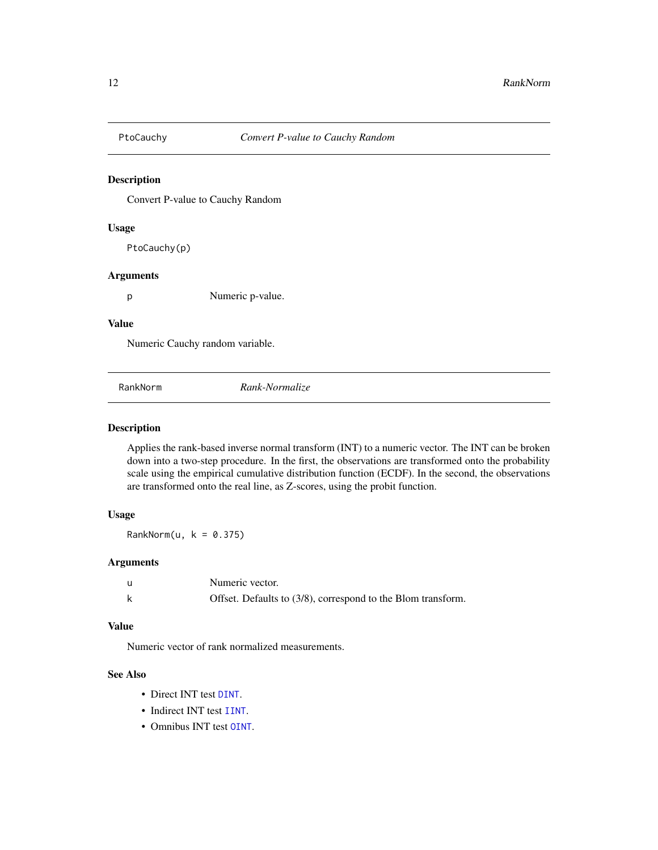<span id="page-11-0"></span>

Convert P-value to Cauchy Random

#### Usage

PtoCauchy(p)

#### Arguments

p Numeric p-value.

#### Value

Numeric Cauchy random variable.

<span id="page-11-1"></span>RankNorm *Rank-Normalize*

#### Description

Applies the rank-based inverse normal transform (INT) to a numeric vector. The INT can be broken down into a two-step procedure. In the first, the observations are transformed onto the probability scale using the empirical cumulative distribution function (ECDF). In the second, the observations are transformed onto the real line, as Z-scores, using the probit function.

# Usage

RankNorm(u,  $k = 0.375$ )

#### Arguments

| Numeric vector.                                              |
|--------------------------------------------------------------|
| Offset. Defaults to (3/8), correspond to the Blom transform. |

# Value

Numeric vector of rank normalized measurements.

# See Also

- Direct INT test [DINT](#page-4-1).
- Indirect INT test [IINT](#page-6-1).
- Omnibus INT test [OINT](#page-9-1).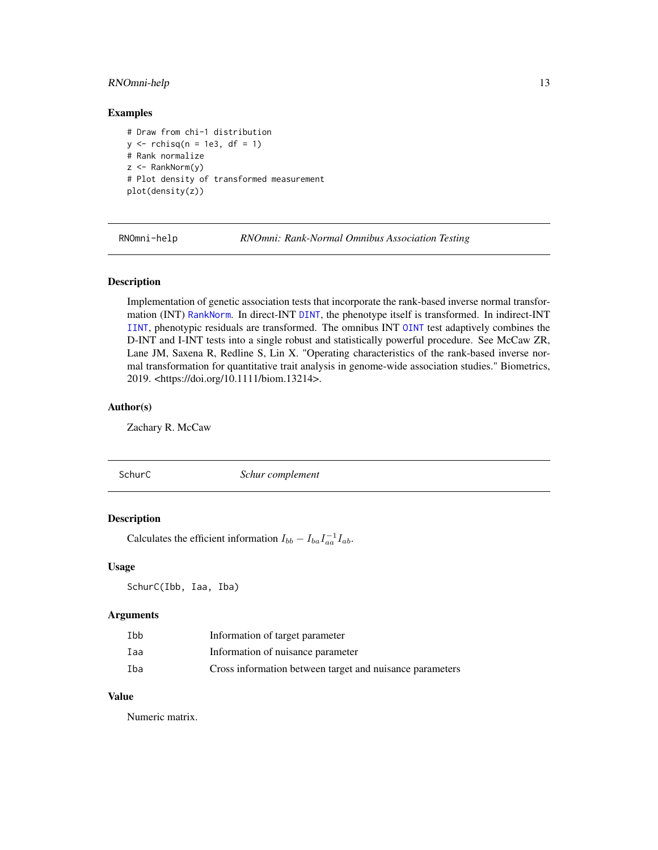# <span id="page-12-0"></span>RNOmni-help 13

#### Examples

```
# Draw from chi-1 distribution
y \le rchisq(n = 1e3, df = 1)
# Rank normalize
z <- RankNorm(y)
# Plot density of transformed measurement
plot(density(z))
```
RNOmni-help *RNOmni: Rank-Normal Omnibus Association Testing*

#### Description

Implementation of genetic association tests that incorporate the rank-based inverse normal transformation (INT) [RankNorm](#page-11-1). In direct-INT [DINT](#page-4-1), the phenotype itself is transformed. In indirect-INT [IINT](#page-6-1), phenotypic residuals are transformed. The omnibus INT [OINT](#page-9-1) test adaptively combines the D-INT and I-INT tests into a single robust and statistically powerful procedure. See McCaw ZR, Lane JM, Saxena R, Redline S, Lin X. "Operating characteristics of the rank-based inverse normal transformation for quantitative trait analysis in genome-wide association studies." Biometrics, 2019. <https://doi.org/10.1111/biom.13214>.

#### Author(s)

Zachary R. McCaw

#### SchurC *Schur complement*

#### Description

Calculates the efficient information  $I_{bb} - I_{ba} I_{aa}^{-1} I_{ab}$ .

#### Usage

SchurC(Ibb, Iaa, Iba)

#### Arguments

| Ibb | Information of target parameter                          |
|-----|----------------------------------------------------------|
| Iaa | Information of nuisance parameter                        |
| Iba | Cross information between target and nuisance parameters |

#### Value

Numeric matrix.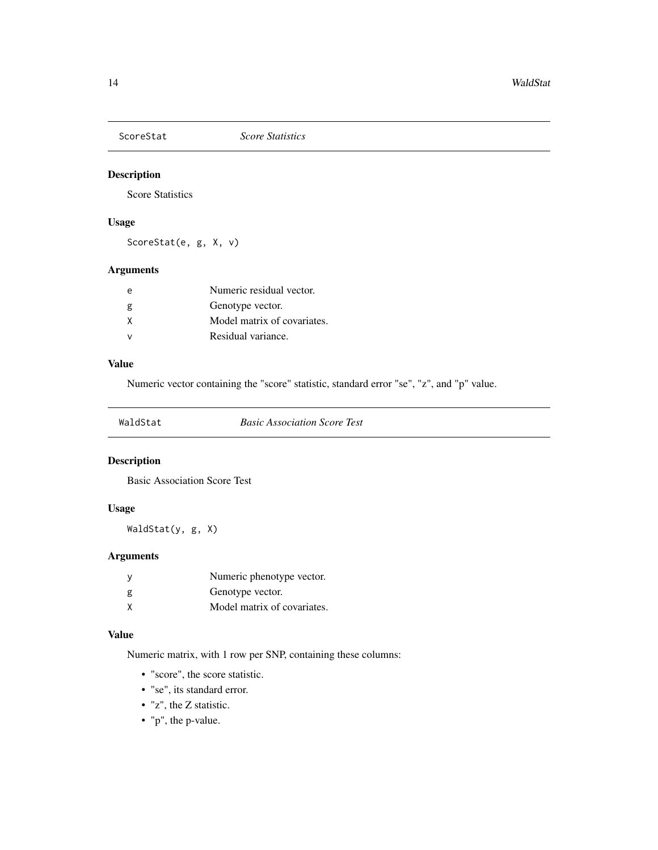<span id="page-13-0"></span>

Score Statistics

# Usage

ScoreStat(e, g, X, v)

# Arguments

| $\epsilon$   | Numeric residual vector.    |
|--------------|-----------------------------|
| g            | Genotype vector.            |
| X            | Model matrix of covariates. |
| $\mathsf{v}$ | Residual variance.          |

#### Value

Numeric vector containing the "score" statistic, standard error "se", "z", and "p" value.

| WaldStat |
|----------|
|          |

**Basic Association Score Test** 

# Description

Basic Association Score Test

# Usage

WaldStat(y, g, X)

# Arguments

|   | Numeric phenotype vector.   |
|---|-----------------------------|
| g | Genotype vector.            |
| X | Model matrix of covariates. |

#### Value

Numeric matrix, with 1 row per SNP, containing these columns:

- "score", the score statistic.
- "se", its standard error.
- "z", the Z statistic.
- "p", the p-value.